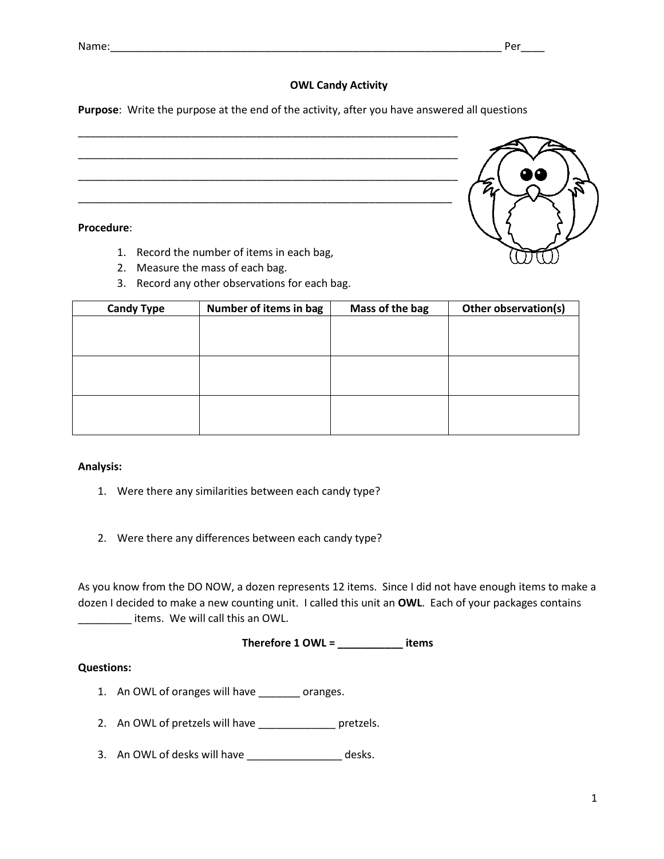## **OWL Candy Activity**

**Purpose**: Write the purpose at the end of the activity, after you have answered all questions

|  | 50 |
|--|----|
|  |    |
|  |    |

# **Procedure**:

- 1. Record the number of items in each bag,
- 2. Measure the mass of each bag.
- 3. Record any other observations for each bag.

| <b>Candy Type</b> | Number of items in bag | Mass of the bag | Other observation(s) |
|-------------------|------------------------|-----------------|----------------------|
|                   |                        |                 |                      |
|                   |                        |                 |                      |
|                   |                        |                 |                      |
|                   |                        |                 |                      |
|                   |                        |                 |                      |
|                   |                        |                 |                      |

### **Analysis:**

- 1. Were there any similarities between each candy type?
- 2. Were there any differences between each candy type?

As you know from the DO NOW, a dozen represents 12 items. Since I did not have enough items to make a dozen I decided to make a new counting unit. I called this unit an **OWL**. Each of your packages contains \_\_\_\_\_\_\_\_\_ items. We will call this an OWL.

**Therefore 1 OWL = \_\_\_\_\_\_\_\_\_\_\_ items**

### **Questions:**

- 1. An OWL of oranges will have \_\_\_\_\_\_\_ oranges.
- 2. An OWL of pretzels will have pretzels.
- 3. An OWL of desks will have \_\_\_\_\_\_\_\_\_\_\_\_\_\_\_\_\_ desks.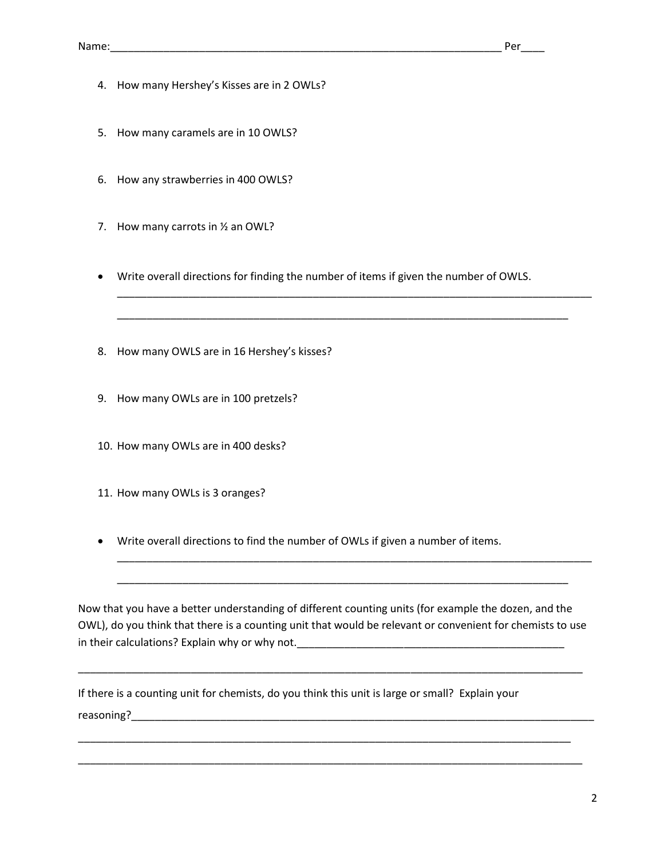- 4. How many Hershey's Kisses are in 2 OWLs?
- 5. How many caramels are in 10 OWLS?
- 6. How any strawberries in 400 OWLS?
- 7. How many carrots in ½ an OWL?
- Write overall directions for finding the number of items if given the number of OWLS.

\_\_\_\_\_\_\_\_\_\_\_\_\_\_\_\_\_\_\_\_\_\_\_\_\_\_\_\_\_\_\_\_\_\_\_\_\_\_\_\_\_\_\_\_\_\_\_\_\_\_\_\_\_\_\_\_\_\_\_\_\_\_\_\_\_\_\_\_\_\_\_\_\_\_\_\_\_\_\_\_

\_\_\_\_\_\_\_\_\_\_\_\_\_\_\_\_\_\_\_\_\_\_\_\_\_\_\_\_\_\_\_\_\_\_\_\_\_\_\_\_\_\_\_\_\_\_\_\_\_\_\_\_\_\_\_\_\_\_\_\_\_\_\_\_\_\_\_\_\_\_\_\_\_\_\_\_

- 8. How many OWLS are in 16 Hershey's kisses?
- 9. How many OWLs are in 100 pretzels?
- 10. How many OWLs are in 400 desks?
- 11. How many OWLs is 3 oranges?
- Write overall directions to find the number of OWLs if given a number of items.

Now that you have a better understanding of different counting units (for example the dozen, and the OWL), do you think that there is a counting unit that would be relevant or convenient for chemists to use in their calculations? Explain why or why not.\_\_\_\_\_\_\_\_\_\_\_\_\_\_\_\_\_\_\_\_\_\_\_\_\_\_\_\_\_\_\_\_\_\_\_\_\_\_\_\_\_\_\_\_\_

\_\_\_\_\_\_\_\_\_\_\_\_\_\_\_\_\_\_\_\_\_\_\_\_\_\_\_\_\_\_\_\_\_\_\_\_\_\_\_\_\_\_\_\_\_\_\_\_\_\_\_\_\_\_\_\_\_\_\_\_\_\_\_\_\_\_\_\_\_\_\_\_\_\_\_\_\_\_\_\_\_\_\_\_\_

\_\_\_\_\_\_\_\_\_\_\_\_\_\_\_\_\_\_\_\_\_\_\_\_\_\_\_\_\_\_\_\_\_\_\_\_\_\_\_\_\_\_\_\_\_\_\_\_\_\_\_\_\_\_\_\_\_\_\_\_\_\_\_\_\_\_\_\_\_\_\_\_\_\_\_\_\_\_\_\_\_\_\_

\_\_\_\_\_\_\_\_\_\_\_\_\_\_\_\_\_\_\_\_\_\_\_\_\_\_\_\_\_\_\_\_\_\_\_\_\_\_\_\_\_\_\_\_\_\_\_\_\_\_\_\_\_\_\_\_\_\_\_\_\_\_\_\_\_\_\_\_\_\_\_\_\_\_\_\_\_\_\_\_\_\_\_\_\_

\_\_\_\_\_\_\_\_\_\_\_\_\_\_\_\_\_\_\_\_\_\_\_\_\_\_\_\_\_\_\_\_\_\_\_\_\_\_\_\_\_\_\_\_\_\_\_\_\_\_\_\_\_\_\_\_\_\_\_\_\_\_\_\_\_\_\_\_\_\_\_\_\_\_\_\_\_\_\_\_

\_\_\_\_\_\_\_\_\_\_\_\_\_\_\_\_\_\_\_\_\_\_\_\_\_\_\_\_\_\_\_\_\_\_\_\_\_\_\_\_\_\_\_\_\_\_\_\_\_\_\_\_\_\_\_\_\_\_\_\_\_\_\_\_\_\_\_\_\_\_\_\_\_\_\_\_

If there is a counting unit for chemists, do you think this unit is large or small? Explain your reasoning? The contract of the contract of the contract of the contract of the contract of the contract of the contract of the contract of the contract of the contract of the contract of the contract of the contract of the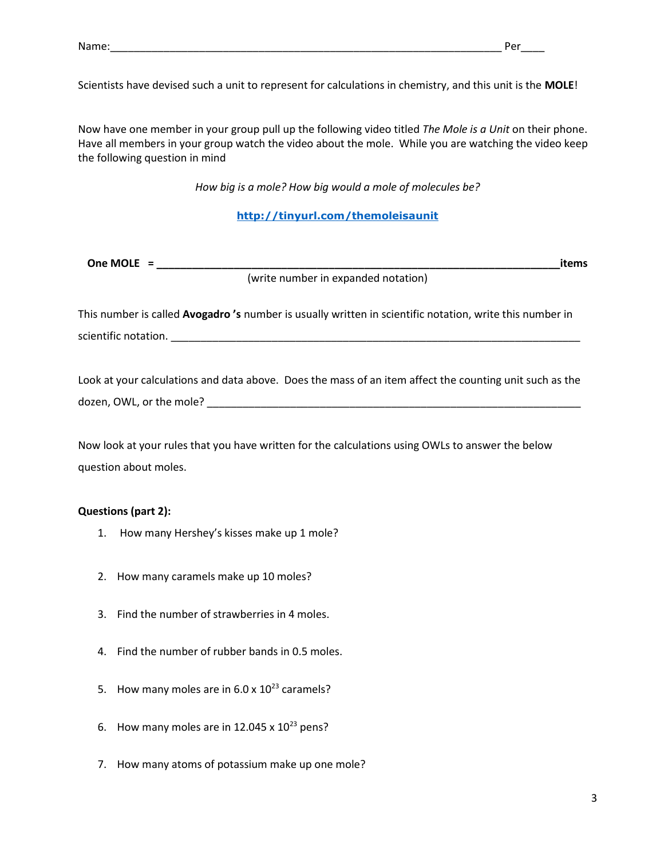Scientists have devised such a unit to represent for calculations in chemistry, and this unit is the **MOLE**!

Now have one member in your group pull up the following video titled *The Mole is a Unit* on their phone. Have all members in your group watch the video about the mole. While you are watching the video keep the following question in mind

*How big is a mole? How big would a mole of molecules be?*

### **<http://tinyurl.com/themoleisaunit>**

| One MOLE $=$ |                                     | items |
|--------------|-------------------------------------|-------|
|              | (write number in expanded notation) |       |

This number is called **Avogadro 's** number is usually written in scientific notation, write this number in scientific notation. **Example 10**  $\overline{a}$  is the set of  $\overline{b}$  is the set of  $\overline{a}$  is the set of  $\overline{a}$  is the set of  $\overline{a}$  is the set of  $\overline{a}$  is the set of  $\overline{a}$  is the set of  $\overline{a}$  is the set of  $\overline$ 

Look at your calculations and data above. Does the mass of an item affect the counting unit such as the dozen, OWL, or the mole? \_\_\_\_\_\_\_\_\_\_\_\_\_\_\_\_\_\_\_\_\_\_\_\_\_\_\_\_\_\_\_\_\_\_\_\_\_\_\_\_\_\_\_\_\_\_\_\_\_\_\_\_\_\_\_\_\_\_\_\_\_\_\_

Now look at your rules that you have written for the calculations using OWLs to answer the below question about moles.

### **Questions (part 2):**

- 1. How many Hershey's kisses make up 1 mole?
- 2. How many caramels make up 10 moles?
- 3. Find the number of strawberries in 4 moles.
- 4. Find the number of rubber bands in 0.5 moles.
- 5. How many moles are in  $6.0 \times 10^{23}$  caramels?
- 6. How many moles are in 12.045 x  $10^{23}$  pens?
- 7. How many atoms of potassium make up one mole?